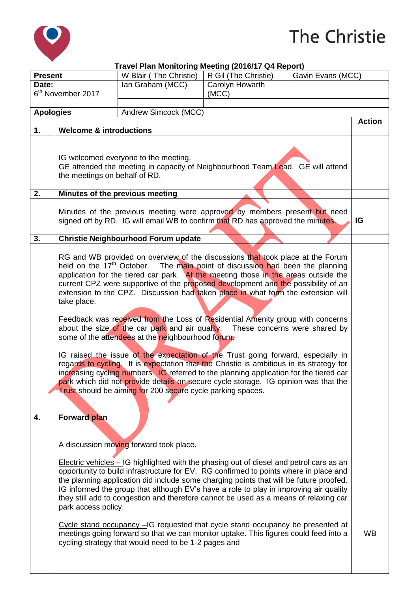

## The Christie

|                               |                                                                                                                                                                                                                                                                                                                                                                                                                                                                                                                                                                                                                                                                                                                                                                                                                                                                                                                                                                                                                                                                                                                     | Travel Plan Monitoring Meeting (2016/17 Q4 Report)                                                                                                                                                                                                                                                                                                                                                                                                                                                                                                                                                                                                                                                                                       |                      |                   |               |
|-------------------------------|---------------------------------------------------------------------------------------------------------------------------------------------------------------------------------------------------------------------------------------------------------------------------------------------------------------------------------------------------------------------------------------------------------------------------------------------------------------------------------------------------------------------------------------------------------------------------------------------------------------------------------------------------------------------------------------------------------------------------------------------------------------------------------------------------------------------------------------------------------------------------------------------------------------------------------------------------------------------------------------------------------------------------------------------------------------------------------------------------------------------|------------------------------------------------------------------------------------------------------------------------------------------------------------------------------------------------------------------------------------------------------------------------------------------------------------------------------------------------------------------------------------------------------------------------------------------------------------------------------------------------------------------------------------------------------------------------------------------------------------------------------------------------------------------------------------------------------------------------------------------|----------------------|-------------------|---------------|
| <b>Present</b>                |                                                                                                                                                                                                                                                                                                                                                                                                                                                                                                                                                                                                                                                                                                                                                                                                                                                                                                                                                                                                                                                                                                                     | W Blair (The Christie)                                                                                                                                                                                                                                                                                                                                                                                                                                                                                                                                                                                                                                                                                                                   | R Gil (The Christie) | Gavin Evans (MCC) |               |
| Date:                         |                                                                                                                                                                                                                                                                                                                                                                                                                                                                                                                                                                                                                                                                                                                                                                                                                                                                                                                                                                                                                                                                                                                     | Ian Graham (MCC)                                                                                                                                                                                                                                                                                                                                                                                                                                                                                                                                                                                                                                                                                                                         | Carolyn Howarth      |                   |               |
| 6 <sup>th</sup> November 2017 |                                                                                                                                                                                                                                                                                                                                                                                                                                                                                                                                                                                                                                                                                                                                                                                                                                                                                                                                                                                                                                                                                                                     |                                                                                                                                                                                                                                                                                                                                                                                                                                                                                                                                                                                                                                                                                                                                          | (MCC)                |                   |               |
| <b>Apologies</b>              |                                                                                                                                                                                                                                                                                                                                                                                                                                                                                                                                                                                                                                                                                                                                                                                                                                                                                                                                                                                                                                                                                                                     | Andrew Simcock (MCC)                                                                                                                                                                                                                                                                                                                                                                                                                                                                                                                                                                                                                                                                                                                     |                      |                   |               |
|                               |                                                                                                                                                                                                                                                                                                                                                                                                                                                                                                                                                                                                                                                                                                                                                                                                                                                                                                                                                                                                                                                                                                                     |                                                                                                                                                                                                                                                                                                                                                                                                                                                                                                                                                                                                                                                                                                                                          |                      |                   | <b>Action</b> |
| 1.                            | <b>Welcome &amp; introductions</b>                                                                                                                                                                                                                                                                                                                                                                                                                                                                                                                                                                                                                                                                                                                                                                                                                                                                                                                                                                                                                                                                                  |                                                                                                                                                                                                                                                                                                                                                                                                                                                                                                                                                                                                                                                                                                                                          |                      |                   |               |
|                               | IG welcomed everyone to the meeting.<br>GE attended the meeting in capacity of Neighbourhood Team Lead. GE will attend<br>the meetings on behalf of RD.                                                                                                                                                                                                                                                                                                                                                                                                                                                                                                                                                                                                                                                                                                                                                                                                                                                                                                                                                             |                                                                                                                                                                                                                                                                                                                                                                                                                                                                                                                                                                                                                                                                                                                                          |                      |                   |               |
| 2.                            |                                                                                                                                                                                                                                                                                                                                                                                                                                                                                                                                                                                                                                                                                                                                                                                                                                                                                                                                                                                                                                                                                                                     | Minutes of the previous meeting                                                                                                                                                                                                                                                                                                                                                                                                                                                                                                                                                                                                                                                                                                          |                      |                   |               |
|                               | Minutes of the previous meeting were approved by members present but need<br>signed off by RD. IG will email WB to confirm that RD has approved the minutes.                                                                                                                                                                                                                                                                                                                                                                                                                                                                                                                                                                                                                                                                                                                                                                                                                                                                                                                                                        |                                                                                                                                                                                                                                                                                                                                                                                                                                                                                                                                                                                                                                                                                                                                          |                      |                   |               |
| 3.                            |                                                                                                                                                                                                                                                                                                                                                                                                                                                                                                                                                                                                                                                                                                                                                                                                                                                                                                                                                                                                                                                                                                                     | Christie Neighbourhood Forum update                                                                                                                                                                                                                                                                                                                                                                                                                                                                                                                                                                                                                                                                                                      |                      |                   |               |
|                               | RG and WB provided on overview of the discussions that took place at the Forum<br>held on the 17 <sup>th</sup> October.<br>The main point of discussion had been the planning<br>application for the tiered car park. At the meeting those in the areas outside the<br>current CPZ were supportive of the proposed development and the possibility of an<br>extension to the CPZ. Discussion had taken place in what form the extension will<br>take place.<br>Feedback was received from the Loss of Residential Amenity group with concerns<br>about the size of the car park and air quality. These concerns were shared by<br>some of the attendees at the neighbourhood forum.<br>IG raised the issue of the expectation of the Trust going forward, especially in<br>regards to cycling. It is expectation that the Christie is ambitious in its strategy for<br>increasing cycling numbers. IG referred to the planning application for the tiered car<br>park which did not provide details on secure cycle storage. IG opinion was that the<br>Trust should be aiming for 200 secure cycle parking spaces. |                                                                                                                                                                                                                                                                                                                                                                                                                                                                                                                                                                                                                                                                                                                                          |                      |                   |               |
| 4.                            | Forward plan                                                                                                                                                                                                                                                                                                                                                                                                                                                                                                                                                                                                                                                                                                                                                                                                                                                                                                                                                                                                                                                                                                        |                                                                                                                                                                                                                                                                                                                                                                                                                                                                                                                                                                                                                                                                                                                                          |                      |                   |               |
|                               | park access policy.                                                                                                                                                                                                                                                                                                                                                                                                                                                                                                                                                                                                                                                                                                                                                                                                                                                                                                                                                                                                                                                                                                 | A discussion moving forward took place.<br>Electric vehicles - IG highlighted with the phasing out of diesel and petrol cars as an<br>opportunity to build infrastructure for EV. RG confirmed to points where in place and<br>the planning application did include some charging points that will be future proofed.<br>IG informed the group that although EV's have a role to play in improving air quality<br>they still add to congestion and therefore cannot be used as a means of relaxing car<br>Cycle stand occupancy -IG requested that cycle stand occupancy be presented at<br>meetings going forward so that we can monitor uptake. This figures could feed into a<br>cycling strategy that would need to be 1-2 pages and |                      |                   | <b>WB</b>     |
|                               |                                                                                                                                                                                                                                                                                                                                                                                                                                                                                                                                                                                                                                                                                                                                                                                                                                                                                                                                                                                                                                                                                                                     |                                                                                                                                                                                                                                                                                                                                                                                                                                                                                                                                                                                                                                                                                                                                          |                      |                   |               |